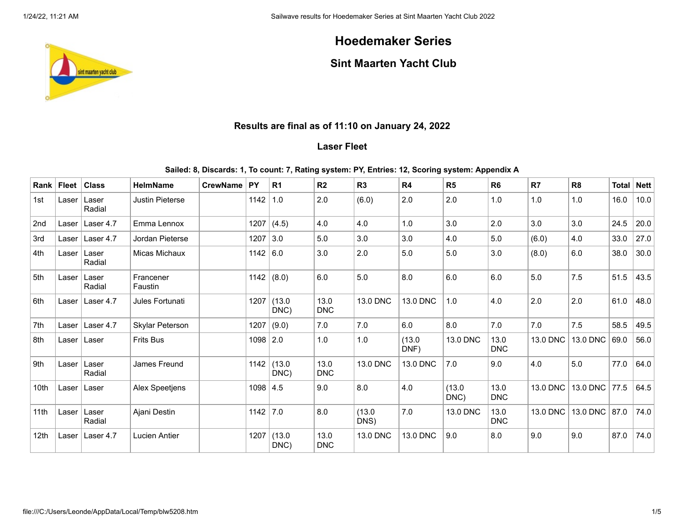# **Hoedemaker Series**

## **Sint Maarten Yacht Club**

## **Results are final as of 11:10 on January 24, 2022**

## **Laser Fleet**

#### **Sailed: 8, Discards: 1, To count: 7, Rating system: PY, Entries: 12, Scoring system: Appendix A**

| Rank l           | <b>Fleet</b> | <b>Class</b>    | <b>HelmName</b>        | <b>CrewName</b> | ∣ PY       | R <sub>1</sub>        | R <sub>2</sub>     | R3             | R4             | R <sub>5</sub> | R <sub>6</sub>     | R7       | R <sub>8</sub> | <b>Total</b> | <b>Nett</b> |
|------------------|--------------|-----------------|------------------------|-----------------|------------|-----------------------|--------------------|----------------|----------------|----------------|--------------------|----------|----------------|--------------|-------------|
| 1st              | Laser        | Laser<br>Radial | <b>Justin Pieterse</b> |                 | 1142       | 1.0                   | 2.0                | (6.0)          | 2.0            | 2.0            | 1.0                | 1.0      | 1.0            | 16.0         | 10.0        |
| 2nd              | Laser        | Laser 4.7       | Emma Lennox            |                 | 1207       | (4.5)                 | 4.0                | 4.0            | 1.0            | 3.0            | 2.0                | 3.0      | 3.0            | 24.5         | 20.0        |
| 3rd              | Laser        | Laser 4.7       | Jordan Pieterse        |                 | 1207       | 3.0                   | 5.0                | 3.0            | 3.0            | 4.0            | 5.0                | (6.0)    | 4.0            | 33.0         | 27.0        |
| 4th              | Laser        | Laser<br>Radial | Micas Michaux          |                 | 1142 6.0   |                       | 3.0                | 2.0            | 5.0            | 5.0            | 3.0                | (8.0)    | 6.0            | 38.0         | 30.0        |
| 5th              | Laser        | Laser<br>Radial | Francener<br>Faustin   |                 | 1142       | (8.0)                 | 6.0                | 5.0            | 8.0            | 6.0            | 6.0                | 5.0      | 7.5            | 51.5         | 43.5        |
| 6th              | Laser        | Laser 4.7       | Jules Fortunati        |                 | 1207       | (13.0)<br>DNC)        | 13.0<br><b>DNC</b> | 13.0 DNC       | 13.0 DNC       | 1.0            | 4.0                | 2.0      | 2.0            | 61.0         | 48.0        |
| 7th              | Laser        | Laser 4.7       | Skylar Peterson        |                 | 1207       | (9.0)                 | 7.0                | 7.0            | 6.0            | 8.0            | 7.0                | 7.0      | 7.5            | 58.5         | 49.5        |
| 8th              | Laser        | Laser           | <b>Frits Bus</b>       |                 | $1098$ 2.0 |                       | 1.0                | 1.0            | (13.0)<br>DNF) | 13.0 DNC       | 13.0<br><b>DNC</b> | 13.0 DNC | 13.0 DNC       | 69.0         | 56.0        |
| 9th              | Laser        | Laser<br>Radial | James Freund           |                 |            | $1142$ (13.0)<br>DNC) | 13.0<br><b>DNC</b> | 13.0 DNC       | 13.0 DNC       | 7.0            | 9.0                | 4.0      | 5.0            | 77.0         | 64.0        |
| 10th             | Laser        | Laser           | Alex Speetjens         |                 | $1098$ 4.5 |                       | 9.0                | 8.0            | 4.0            | (13.0)<br>DNC) | 13.0<br><b>DNC</b> | 13.0 DNC | 13.0 DNC 77.5  |              | 64.5        |
| 11th             | Laser        | Laser<br>Radial | Ajani Destin           |                 | 1142       | 7.0                   | 8.0                | (13.0)<br>DNS) | 7.0            | 13.0 DNC       | 13.0<br><b>DNC</b> | 13.0 DNC | 13.0 DNC 87.0  |              | 74.0        |
| 12 <sub>th</sub> | Laser        | Laser 4.7       | <b>Lucien Antier</b>   |                 |            | $1207$ (13.0<br>DNC)  | 13.0<br><b>DNC</b> | 13.0 DNC       | 13.0 DNC       | 9.0            | 8.0                | 9.0      | 9.0            | 87.0         | 74.0        |

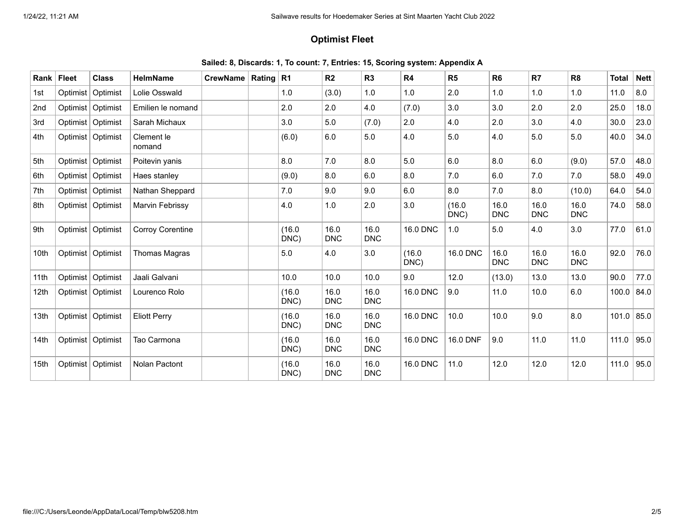## **Optimist Fleet**

| Sailed: 8, Discards: 1, To count: 7, Entries: 15, Scoring system: Appendix A |  |  |  |  |  |  |
|------------------------------------------------------------------------------|--|--|--|--|--|--|
|------------------------------------------------------------------------------|--|--|--|--|--|--|

| Rank             | <b>Fleet</b> | <b>Class</b>        | <b>HelmName</b>         | <b>CrewName</b> | Rating $R1$ |                | R <sub>2</sub>     | R <sub>3</sub>     | R <sub>4</sub>  | R <sub>5</sub>  | R <sub>6</sub>     | R7                 | R <sub>8</sub>     | <b>Total</b> | <b>Nett</b> |
|------------------|--------------|---------------------|-------------------------|-----------------|-------------|----------------|--------------------|--------------------|-----------------|-----------------|--------------------|--------------------|--------------------|--------------|-------------|
| 1st              | Optimist     | Optimist            | Lolie Osswald           |                 |             | 1.0            | (3.0)              | 1.0                | 1.0             | 2.0             | 1.0                | 1.0                | 1.0                | 11.0         | 8.0         |
| 2 <sub>nd</sub>  |              | Optimist   Optimist | Emilien le nomand       |                 |             | 2.0            | 2.0                | 4.0                | (7.0)           | 3.0             | 3.0                | 2.0                | 2.0                | 25.0         | 18.0        |
| 3rd              |              | Optimist   Optimist | Sarah Michaux           |                 |             | 3.0            | $5.0$              | (7.0)              | 2.0             | 4.0             | 2.0                | 3.0                | 4.0                | 30.0         | 23.0        |
| 4th              |              | Optimist   Optimist | Clement le<br>nomand    |                 |             | (6.0)          | 6.0                | 5.0                | 4.0             | 5.0             | 4.0                | 5.0                | 5.0                | 40.0         | 34.0        |
| 5th              |              | Optimist   Optimist | Poitevin yanis          |                 |             | 8.0            | 7.0                | 8.0                | 5.0             | 6.0             | 8.0                | 6.0                | (9.0)              | 57.0         | 48.0        |
| 6th              |              | Optimist   Optimist | Haes stanley            |                 |             | (9.0)          | 8.0                | 6.0                | 8.0             | 7.0             | 6.0                | 7.0                | 7.0                | 58.0         | 49.0        |
| 7th              |              | Optimist   Optimist | Nathan Sheppard         |                 |             | 7.0            | 9.0                | 9.0                | 6.0             | 8.0             | 7.0                | 8.0                | (10.0)             | 64.0         | 54.0        |
| 8th              |              | Optimist   Optimist | Marvin Febrissy         |                 |             | 4.0            | 1.0                | 2.0                | 3.0             | (16.0)<br>DNC)  | 16.0<br><b>DNC</b> | 16.0<br><b>DNC</b> | 16.0<br><b>DNC</b> | 74.0         | 58.0        |
| 9th              |              | Optimist   Optimist | <b>Corroy Corentine</b> |                 |             | (16.0)<br>DNC) | 16.0<br><b>DNC</b> | 16.0<br><b>DNC</b> | 16.0 DNC        | 1.0             | 5.0                | 4.0                | 3.0                | 77.0         | 61.0        |
| 10th             |              | Optimist   Optimist | Thomas Magras           |                 |             | 5.0            | 4.0                | 3.0                | (16.0)<br>DNC)  | <b>16.0 DNC</b> | 16.0<br><b>DNC</b> | 16.0<br><b>DNC</b> | 16.0<br><b>DNC</b> | 92.0         | 76.0        |
| 11th             |              | Optimist   Optimist | Jaali Galvani           |                 |             | 10.0           | 10.0               | 10.0               | 9.0             | 12.0            | (13.0)             | 13.0               | 13.0               | 90.0         | 77.0        |
| 12 <sub>th</sub> |              | Optimist   Optimist | Lourenco Rolo           |                 |             | (16.0)<br>DNC) | 16.0<br><b>DNC</b> | 16.0<br><b>DNC</b> | 16.0 DNC        | 9.0             | 11.0               | 10.0               | 6.0                | 100.0        | 84.0        |
| 13th             |              | Optimist   Optimist | <b>Eliott Perry</b>     |                 |             | (16.0)<br>DNC) | 16.0<br><b>DNC</b> | 16.0<br><b>DNC</b> | <b>16.0 DNC</b> | 10.0            | 10.0               | 9.0                | 8.0                | 101.0        | 85.0        |
| 14 <sub>th</sub> |              | Optimist   Optimist | Tao Carmona             |                 |             | (16.0)<br>DNC) | 16.0<br><b>DNC</b> | 16.0<br><b>DNC</b> | 16.0 DNC        | 16.0 DNF        | 9.0                | 11.0               | 11.0               | 111.0        | 95.0        |
| 15th             |              | Optimist   Optimist | Nolan Pactont           |                 |             | (16.0)<br>DNC) | 16.0<br><b>DNC</b> | 16.0<br><b>DNC</b> | 16.0 DNC        | 11.0            | 12.0               | 12.0               | 12.0               | 111.0        | 95.0        |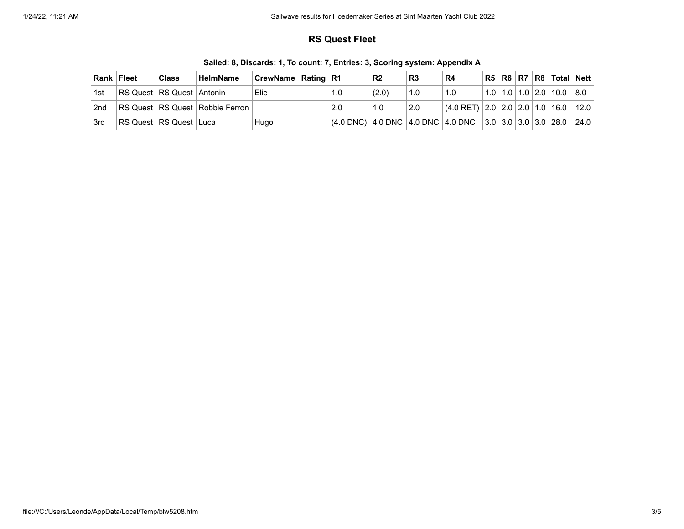### **RS Quest Fleet**

| Rank Fleet | <b>Class</b>                  | <b>HelmName</b>                     | <b>CrewName   Rating   R1</b> |                                                                                                | R <sub>2</sub> | R <sub>3</sub> | R4                                        |  |  | R5 R6 R7 R8 Total Nett               |  |
|------------|-------------------------------|-------------------------------------|-------------------------------|------------------------------------------------------------------------------------------------|----------------|----------------|-------------------------------------------|--|--|--------------------------------------|--|
| 1st        | RS Quest   RS Quest   Antonin |                                     | `Elie                         | 1.0                                                                                            | (2.0)          | 1.0            | 1.0                                       |  |  | $1.0$   1.0   1.0   2.0   10.0   8.0 |  |
| 2nd        |                               | RS Quest   RS Quest   Robbie Ferron |                               | 2.0                                                                                            | 1.0            | 2.0            | $ (4.0$ RET) $ 2.0 2.0 2.0 1.0 16.0 12.0$ |  |  |                                      |  |
| 3rd        | RS Quest   RS Quest   Luca    |                                     | Hugo                          | $ (4.0 \text{ DNC}) 4.0 \text{ DNC} 4.0 \text{ DNC} 4.0 \text{ DNC} 3.0 3.0 3.0 3.0 28.0 24.0$ |                |                |                                           |  |  |                                      |  |

**Sailed: 8, Discards: 1, To count: 7, Entries: 3, Scoring system: Appendix A**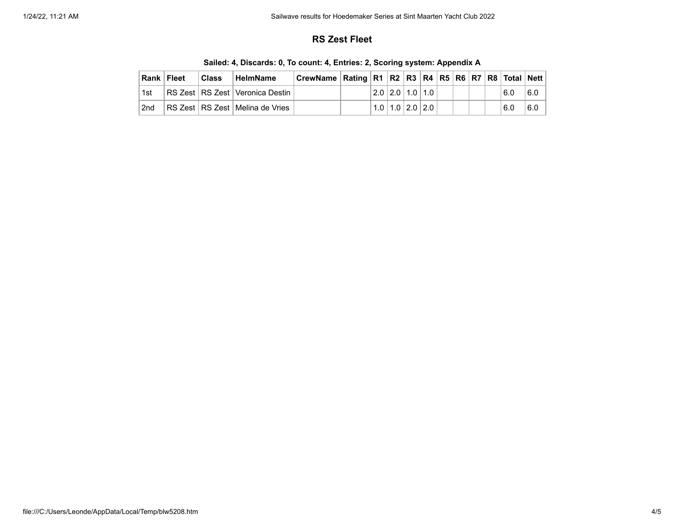## **RS Zest Fleet**

|                 | Rank Fleet | <b>Class</b> | ∣ HelmName                          | CrewName   Rating   R1   R2   R3   R4   R5   R6   R7   R8   Total   Nett |  |  |                         |  |  |     |     |
|-----------------|------------|--------------|-------------------------------------|--------------------------------------------------------------------------|--|--|-------------------------|--|--|-----|-----|
| 1st             |            |              | RS Zest   RS Zest   Veronica Destin |                                                                          |  |  | 2.0 2.0 1.0 1.0         |  |  | 6.0 | 6.0 |
| 2 <sub>nd</sub> |            |              | RS Zest   RS Zest   Melina de Vries |                                                                          |  |  | $1.0$   1.0   2.0   2.0 |  |  | 6.0 | 6.0 |

**Sailed: 4, Discards: 0, To count: 4, Entries: 2, Scoring system: Appendix A**